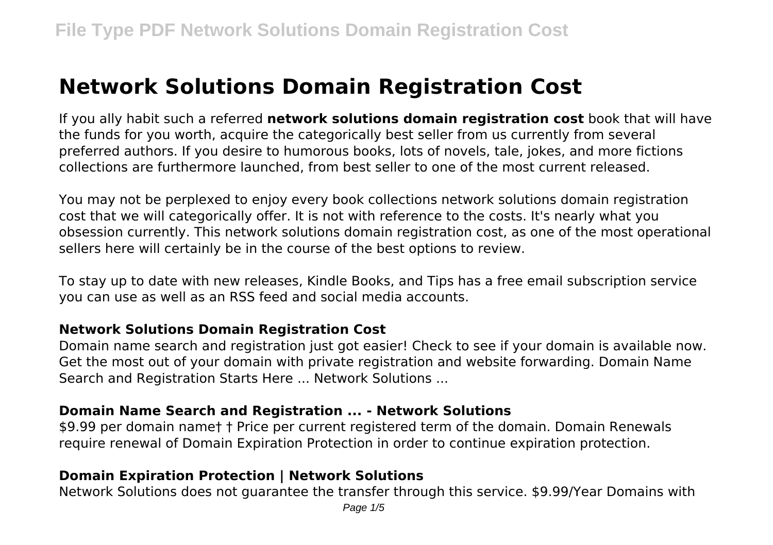# **Network Solutions Domain Registration Cost**

If you ally habit such a referred **network solutions domain registration cost** book that will have the funds for you worth, acquire the categorically best seller from us currently from several preferred authors. If you desire to humorous books, lots of novels, tale, jokes, and more fictions collections are furthermore launched, from best seller to one of the most current released.

You may not be perplexed to enjoy every book collections network solutions domain registration cost that we will categorically offer. It is not with reference to the costs. It's nearly what you obsession currently. This network solutions domain registration cost, as one of the most operational sellers here will certainly be in the course of the best options to review.

To stay up to date with new releases, Kindle Books, and Tips has a free email subscription service you can use as well as an RSS feed and social media accounts.

#### **Network Solutions Domain Registration Cost**

Domain name search and registration just got easier! Check to see if your domain is available now. Get the most out of your domain with private registration and website forwarding. Domain Name Search and Registration Starts Here ... Network Solutions ...

#### **Domain Name Search and Registration ... - Network Solutions**

\$9.99 per domain name† † Price per current registered term of the domain. Domain Renewals require renewal of Domain Expiration Protection in order to continue expiration protection.

# **Domain Expiration Protection | Network Solutions**

Network Solutions does not guarantee the transfer through this service. \$9.99/Year Domains with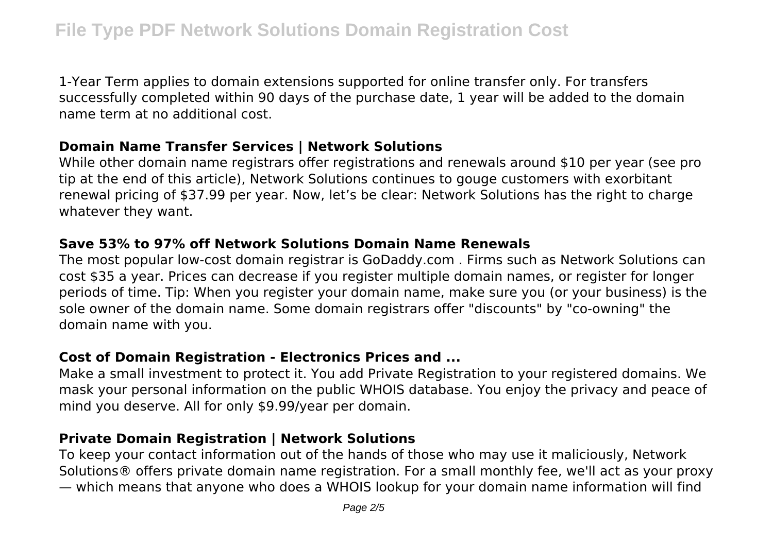1-Year Term applies to domain extensions supported for online transfer only. For transfers successfully completed within 90 days of the purchase date, 1 year will be added to the domain name term at no additional cost.

#### **Domain Name Transfer Services | Network Solutions**

While other domain name registrars offer registrations and renewals around \$10 per year (see pro tip at the end of this article), Network Solutions continues to gouge customers with exorbitant renewal pricing of \$37.99 per year. Now, let's be clear: Network Solutions has the right to charge whatever they want.

# **Save 53% to 97% off Network Solutions Domain Name Renewals**

The most popular low-cost domain registrar is GoDaddy.com . Firms such as Network Solutions can cost \$35 a year. Prices can decrease if you register multiple domain names, or register for longer periods of time. Tip: When you register your domain name, make sure you (or your business) is the sole owner of the domain name. Some domain registrars offer "discounts" by "co-owning" the domain name with you.

# **Cost of Domain Registration - Electronics Prices and ...**

Make a small investment to protect it. You add Private Registration to your registered domains. We mask your personal information on the public WHOIS database. You enjoy the privacy and peace of mind you deserve. All for only \$9.99/year per domain.

# **Private Domain Registration | Network Solutions**

To keep your contact information out of the hands of those who may use it maliciously, Network Solutions® offers private domain name registration. For a small monthly fee, we'll act as your proxy — which means that anyone who does a WHOIS lookup for your domain name information will find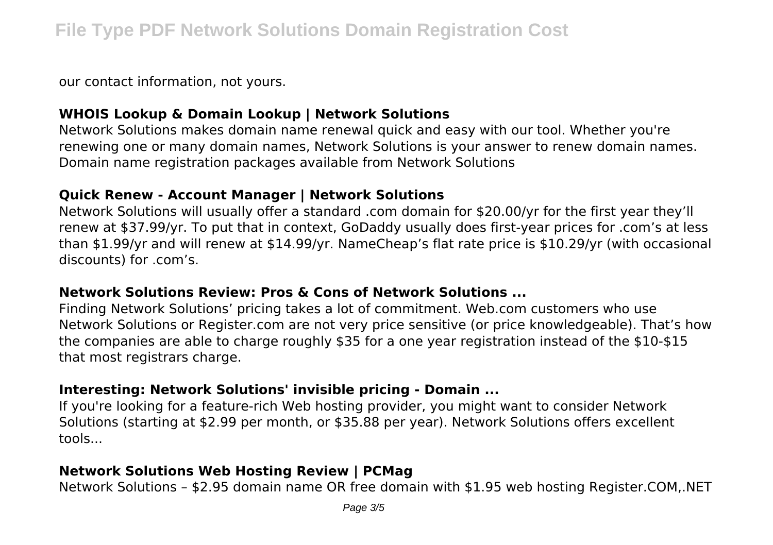our contact information, not yours.

# **WHOIS Lookup & Domain Lookup | Network Solutions**

Network Solutions makes domain name renewal quick and easy with our tool. Whether you're renewing one or many domain names, Network Solutions is your answer to renew domain names. Domain name registration packages available from Network Solutions

#### **Quick Renew - Account Manager | Network Solutions**

Network Solutions will usually offer a standard .com domain for \$20.00/yr for the first year they'll renew at \$37.99/yr. To put that in context, GoDaddy usually does first-year prices for .com's at less than \$1.99/yr and will renew at \$14.99/yr. NameCheap's flat rate price is \$10.29/yr (with occasional discounts) for .com's.

#### **Network Solutions Review: Pros & Cons of Network Solutions ...**

Finding Network Solutions' pricing takes a lot of commitment. Web.com customers who use Network Solutions or Register.com are not very price sensitive (or price knowledgeable). That's how the companies are able to charge roughly \$35 for a one year registration instead of the \$10-\$15 that most registrars charge.

#### **Interesting: Network Solutions' invisible pricing - Domain ...**

If you're looking for a feature-rich Web hosting provider, you might want to consider Network Solutions (starting at \$2.99 per month, or \$35.88 per year). Network Solutions offers excellent tools...

# **Network Solutions Web Hosting Review | PCMag**

Network Solutions – \$2.95 domain name OR free domain with \$1.95 web hosting Register.COM,.NET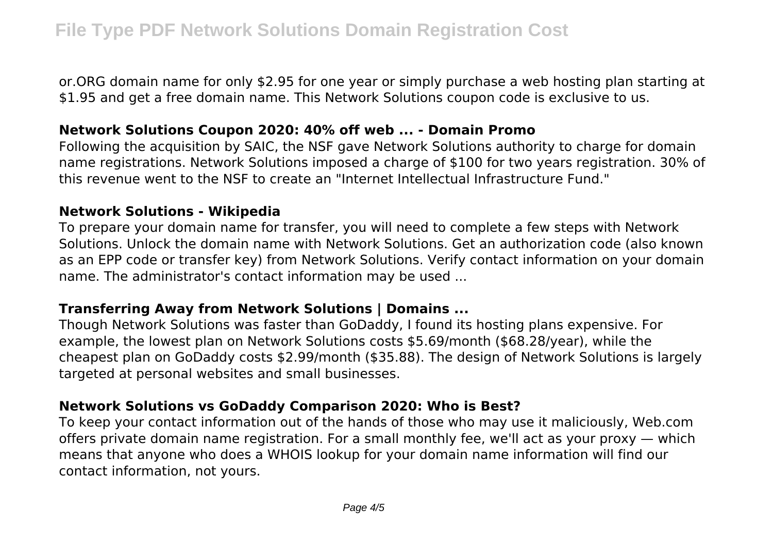or.ORG domain name for only \$2.95 for one year or simply purchase a web hosting plan starting at \$1.95 and get a free domain name. This Network Solutions coupon code is exclusive to us.

#### **Network Solutions Coupon 2020: 40% off web ... - Domain Promo**

Following the acquisition by SAIC, the NSF gave Network Solutions authority to charge for domain name registrations. Network Solutions imposed a charge of \$100 for two years registration. 30% of this revenue went to the NSF to create an "Internet Intellectual Infrastructure Fund."

#### **Network Solutions - Wikipedia**

To prepare your domain name for transfer, you will need to complete a few steps with Network Solutions. Unlock the domain name with Network Solutions. Get an authorization code (also known as an EPP code or transfer key) from Network Solutions. Verify contact information on your domain name. The administrator's contact information may be used ...

# **Transferring Away from Network Solutions | Domains ...**

Though Network Solutions was faster than GoDaddy, I found its hosting plans expensive. For example, the lowest plan on Network Solutions costs \$5.69/month (\$68.28/year), while the cheapest plan on GoDaddy costs \$2.99/month (\$35.88). The design of Network Solutions is largely targeted at personal websites and small businesses.

# **Network Solutions vs GoDaddy Comparison 2020: Who is Best?**

To keep your contact information out of the hands of those who may use it maliciously, Web.com offers private domain name registration. For a small monthly fee, we'll act as your proxy — which means that anyone who does a WHOIS lookup for your domain name information will find our contact information, not yours.